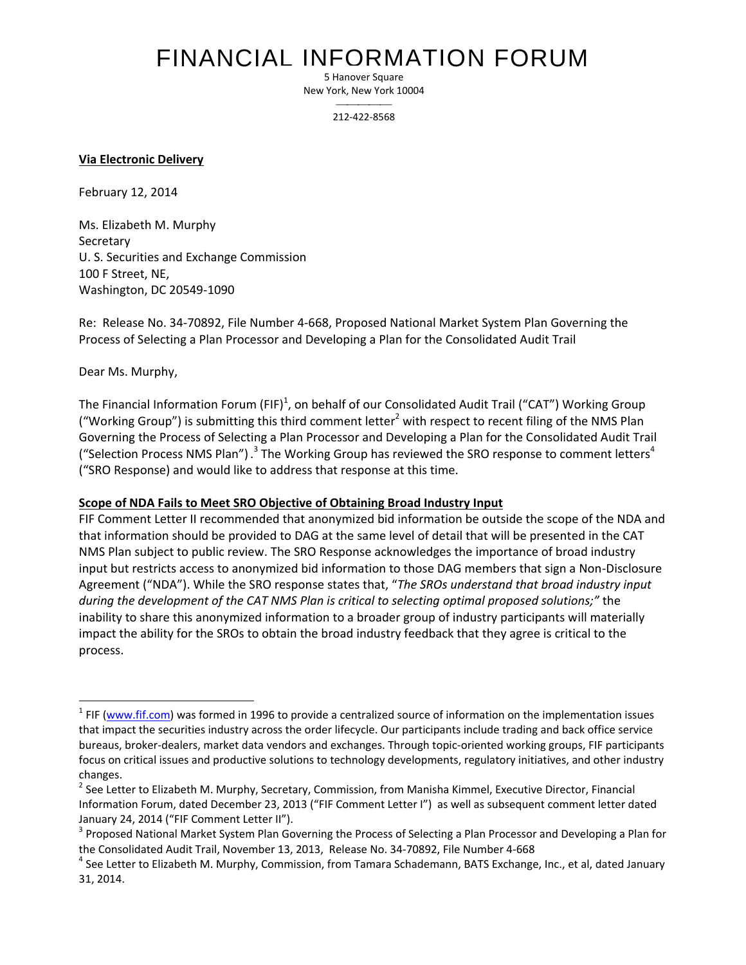## FINANCIAL INFORMATION FORUM

5 Hanover Square New York, New York 10004

> $\overline{\phantom{a}}$ 212-422-8568

**Via Electronic Delivery**

February 12, 2014

Ms. Elizabeth M. Murphy Secretary U. S. Securities and Exchange Commission 100 F Street, NE, Washington, DC 20549-1090

Re: Release No. 34-70892, File Number 4-668, Proposed National Market System Plan Governing the Process of Selecting a Plan Processor and Developing a Plan for the Consolidated Audit Trail

Dear Ms. Murphy,

 $\ddot{\phantom{a}}$ 

The Financial Information Forum (FIF)<sup>1</sup>, on behalf of our Consolidated Audit Trail ("CAT") Working Group ("Working Group") is submitting this third comment letter<sup>2</sup> with respect to recent filing of the NMS Plan Governing the Process of Selecting a Plan Processor and Developing a Plan for the Consolidated Audit Trail ("Selection Process NMS Plan") .<sup>3</sup> The Working Group has reviewed the SRO response to comment letters<sup>4</sup> ("SRO Response) and would like to address that response at this time.

## **Scope of NDA Fails to Meet SRO Objective of Obtaining Broad Industry Input**

FIF Comment Letter II recommended that anonymized bid information be outside the scope of the NDA and that information should be provided to DAG at the same level of detail that will be presented in the CAT NMS Plan subject to public review. The SRO Response acknowledges the importance of broad industry input but restricts access to anonymized bid information to those DAG members that sign a Non-Disclosure Agreement ("NDA"). While the SRO response states that, "*The SROs understand that broad industry input during the development of the CAT NMS Plan is critical to selecting optimal proposed solutions;"* the inability to share this anonymized information to a broader group of industry participants will materially impact the ability for the SROs to obtain the broad industry feedback that they agree is critical to the process.

<sup>&</sup>lt;sup>1</sup> FIF (www.fif.com) was formed in 1996 to provide a centralized source of information on the implementation issues that impact the securities industry across the order lifecycle. Our participants include trading and back office service bureaus, broker-dealers, market data vendors and exchanges. Through topic-oriented working groups, FIF participants focus on critical issues and productive solutions to technology developments, regulatory initiatives, and other industry changes.

<sup>&</sup>lt;sup>2</sup> See Letter to Elizabeth M. Murphy, Secretary, Commission, from Manisha Kimmel, Executive Director, Financial Information Forum, dated December 23, 2013 ("FIF Comment Letter I") as well as subsequent comment letter dated January 24, 2014 ("FIF Comment Letter II").

<sup>&</sup>lt;sup>3</sup> Proposed National Market System Plan Governing the Process of Selecting a Plan Processor and Developing a Plan for the Consolidated Audit Trail, November 13, 2013, Release No. 34-70892, File Number 4-668

<sup>&</sup>lt;sup>4</sup> See Letter to Elizabeth M. Murphy, Commission, from Tamara Schademann, BATS Exchange, Inc., et al, dated January 31, 2014.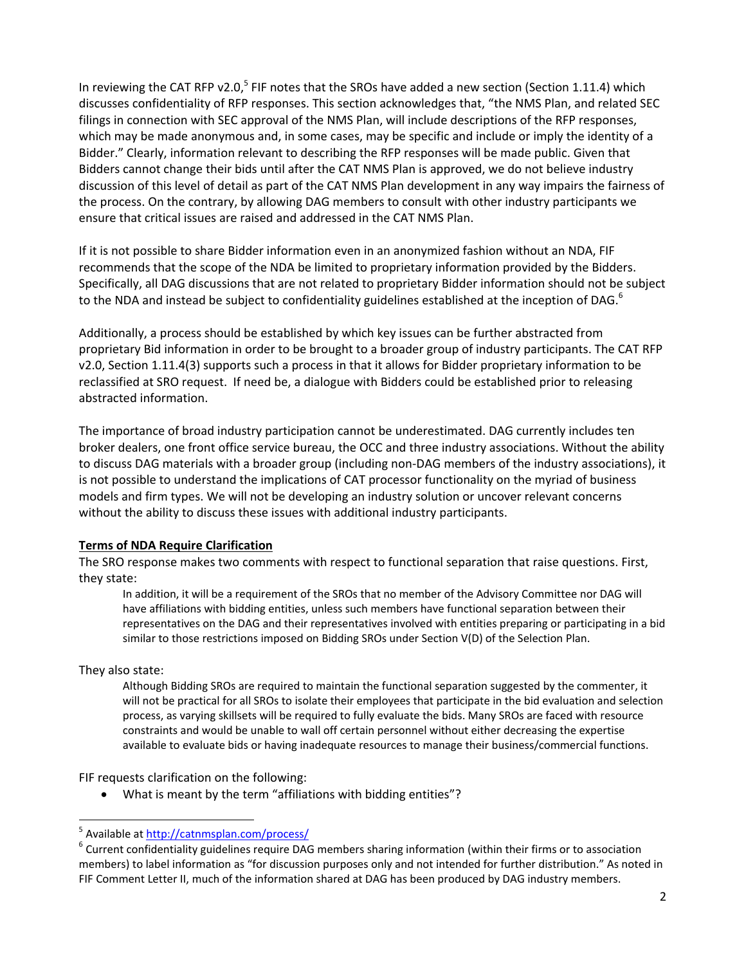In reviewing the CAT RFP v2.0,<sup>5</sup> FIF notes that the SROs have added a new section (Section 1.11.4) which discusses confidentiality of RFP responses. This section acknowledges that, "the NMS Plan, and related SEC filings in connection with SEC approval of the NMS Plan, will include descriptions of the RFP responses, which may be made anonymous and, in some cases, may be specific and include or imply the identity of a Bidder." Clearly, information relevant to describing the RFP responses will be made public. Given that Bidders cannot change their bids until after the CAT NMS Plan is approved, we do not believe industry discussion of this level of detail as part of the CAT NMS Plan development in any way impairs the fairness of the process. On the contrary, by allowing DAG members to consult with other industry participants we ensure that critical issues are raised and addressed in the CAT NMS Plan.

If it is not possible to share Bidder information even in an anonymized fashion without an NDA, FIF recommends that the scope of the NDA be limited to proprietary information provided by the Bidders. Specifically, all DAG discussions that are not related to proprietary Bidder information should not be subject to the NDA and instead be subject to confidentiality guidelines established at the inception of DAG.<sup>6</sup>

Additionally, a process should be established by which key issues can be further abstracted from proprietary Bid information in order to be brought to a broader group of industry participants. The CAT RFP v2.0, Section 1.11.4(3) supports such a process in that it allows for Bidder proprietary information to be reclassified at SRO request. If need be, a dialogue with Bidders could be established prior to releasing abstracted information.

The importance of broad industry participation cannot be underestimated. DAG currently includes ten broker dealers, one front office service bureau, the OCC and three industry associations. Without the ability to discuss DAG materials with a broader group (including non-DAG members of the industry associations), it is not possible to understand the implications of CAT processor functionality on the myriad of business models and firm types. We will not be developing an industry solution or uncover relevant concerns without the ability to discuss these issues with additional industry participants.

## **Terms of NDA Require Clarification**

The SRO response makes two comments with respect to functional separation that raise questions. First, they state:

In addition, it will be a requirement of the SROs that no member of the Advisory Committee nor DAG will have affiliations with bidding entities, unless such members have functional separation between their representatives on the DAG and their representatives involved with entities preparing or participating in a bid similar to those restrictions imposed on Bidding SROs under Section V(D) of the Selection Plan.

They also state:

Although Bidding SROs are required to maintain the functional separation suggested by the commenter, it will not be practical for all SROs to isolate their employees that participate in the bid evaluation and selection process, as varying skillsets will be required to fully evaluate the bids. Many SROs are faced with resource constraints and would be unable to wall off certain personnel without either decreasing the expertise available to evaluate bids or having inadequate resources to manage their business/commercial functions.

FIF requests clarification on the following:

What is meant by the term "affiliations with bidding entities"?

 $\overline{a}$ <sup>5</sup> Available at<http://catnmsplan.com/process/>

 $^6$  Current confidentiality guidelines require DAG members sharing information (within their firms or to association members) to label information as "for discussion purposes only and not intended for further distribution." As noted in FIF Comment Letter II, much of the information shared at DAG has been produced by DAG industry members.